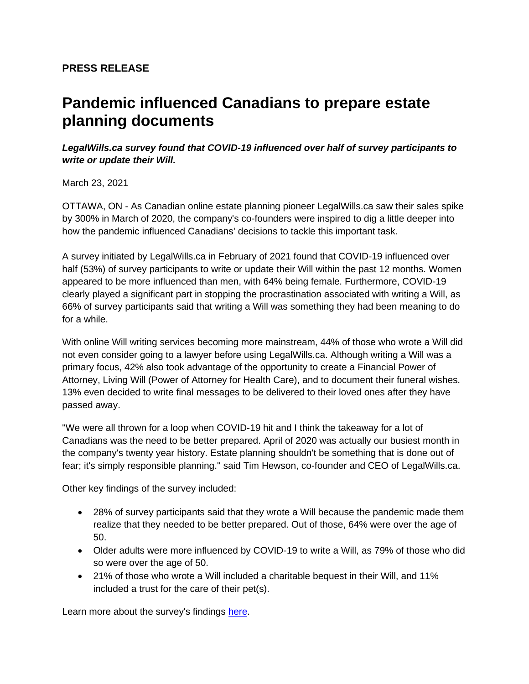## **PRESS RELEASE**

## **Pandemic influenced Canadians to prepare estate planning documents**

## *LegalWills.ca survey found that COVID-19 influenced over half of survey participants to write or update their Will.*

March 23, 2021

OTTAWA, ON - As Canadian online estate planning pioneer LegalWills.ca saw their sales spike by 300% in March of 2020, the company's co-founders were inspired to dig a little deeper into how the pandemic influenced Canadians' decisions to tackle this important task.

A survey initiated by LegalWills.ca in February of 2021 found that COVID-19 influenced over half (53%) of survey participants to write or update their Will within the past 12 months. Women appeared to be more influenced than men, with 64% being female. Furthermore, COVID-19 clearly played a significant part in stopping the procrastination associated with writing a Will, as 66% of survey participants said that writing a Will was something they had been meaning to do for a while.

With online Will writing services becoming more mainstream, 44% of those who wrote a Will did not even consider going to a lawyer before using LegalWills.ca. Although writing a Will was a primary focus, 42% also took advantage of the opportunity to create a Financial Power of Attorney, Living Will (Power of Attorney for Health Care), and to document their funeral wishes. 13% even decided to write final messages to be delivered to their loved ones after they have passed away.

"We were all thrown for a loop when COVID-19 hit and I think the takeaway for a lot of Canadians was the need to be better prepared. April of 2020 was actually our busiest month in the company's twenty year history. Estate planning shouldn't be something that is done out of fear; it's simply responsible planning." said Tim Hewson, co-founder and CEO of LegalWills.ca.

Other key findings of the survey included:

- 28% of survey participants said that they wrote a Will because the pandemic made them realize that they needed to be better prepared. Out of those, 64% were over the age of 50.
- Older adults were more influenced by COVID-19 to write a Will, as 79% of those who did so were over the age of 50.
- 21% of those who wrote a Will included a charitable bequest in their Will, and 11% included a trust for the care of their pet(s).

Learn more about the survey's findings [here.](https://www.legalwills.ca/media_files/210319%20LW_Survey%20Details_PF4.pdf)